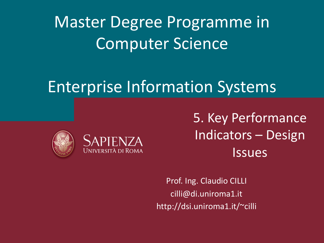Master Degree Programme in Computer Science

## Enterprise Information Systems





5. Key Performance Indicators – Design Issues

Prof. Ing. Claudio CILLI cilli@di.uniroma1.it http://dsi.uniroma1.it/~cilli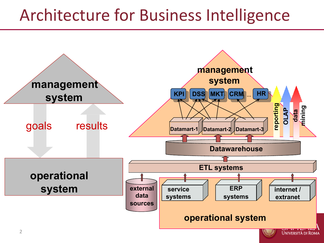# Architecture for Business Intelligence

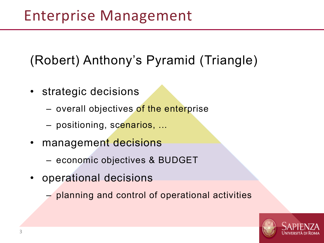#### (Robert) Anthony's Pyramid (Triangle)

- strategic decisions
	- overall objectives of the enterprise
	- positioning, scenarios, ...
- management decisions
	- economic objectives & BUDGET
- operational decisions
	- planning and control of operational activities

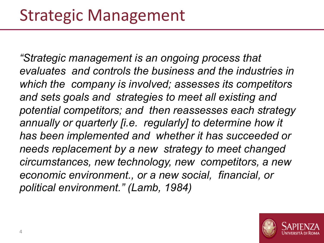*"Strategic management is an ongoing process that evaluates and controls the business and the industries in which the company is involved; assesses its competitors and sets goals and strategies to meet all existing and potential competitors; and then reassesses each strategy annually or quarterly [i.e. regularly] to determine how it has been implemented and whether it has succeeded or needs replacement by a new strategy to meet changed circumstances, new technology, new competitors, a new economic environment., or a new social, financial, or political environment." (Lamb, 1984)*

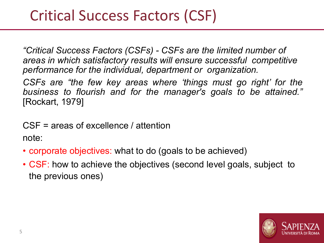#### Critical Success Factors (CSF)

*"Critical Success Factors (CSFs) - CSFs are the limited number of areas in which satisfactory results will ensure successful competitive performance for the individual, department or organization.*

*CSFs are "the few key areas where 'things must go right' for the business to flourish and for the manager's goals to be attained."* [Rockart, 1979]

CSF = areas of excellence / attention

note:

- corporate objectives: what to do (goals to be achieved)
- CSF: how to achieve the objectives (second level goals, subject to the previous ones)

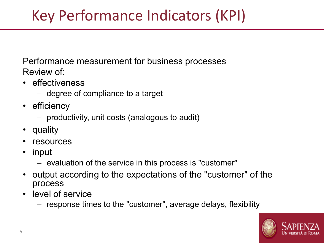## Key Performance Indicators (KPI)

Performance measurement for business processes Review of:

- effectiveness
	- degree of compliance to a target
- efficiency
	- productivity, unit costs (analogous to audit)
- quality
- resources
- input
	- evaluation of the service in this process is "customer"
- output according to the expectations of the "customer" of the process
- level of service
	- response times to the "customer", average delays, flexibility

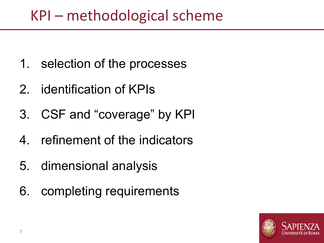#### KPI – methodological scheme

- 1. selection of the processes
- 2. identification of KPIs
- 3. CSF and "coverage" by KPI
- 4. refinement of the indicators
- 5. dimensional analysis
- 6. completing requirements

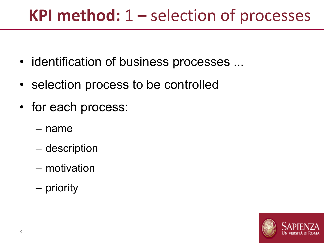# **KPI method:** 1 – selection of processes

- identification of business processes ...
- selection process to be controlled
- for each process:
	- name
	- description
	- motivation
	- priority

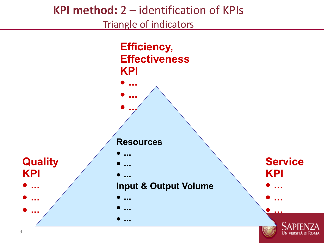#### **KPI method:** 2 – identification of KPIs

Triangle of indicators

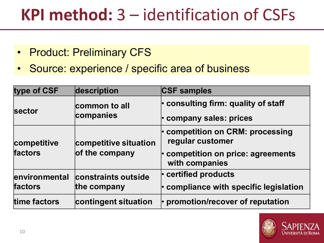# **KPI method:** 3 – identification of CSFs

- Product: Preliminary CFS
- Source: experience / specific area of business

| type of CSF   | description                             | <b>CSF samples</b>                                 |
|---------------|-----------------------------------------|----------------------------------------------------|
| <b>sector</b> | common to all<br>companies              | $\cdot$ consulting firm: quality of staff          |
|               |                                         | company sales: prices                              |
| competitive   | competitive situation<br>of the company | competition on CRM: processing<br>regular customer |
| factors       |                                         | competition on price: agreements<br>with companies |
| environmental | constraints outside<br>the company      | $\cdot$ certified products                         |
| factors       |                                         | $\cdot$ compliance with specific legislation       |
| time factors  | contingent situation                    | promotion/recover of reputation                    |

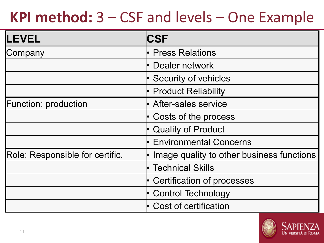## **KPI method:** 3 – CSF and levels – One Example

| LEVEL                           | <b>CSF</b>                                |  |  |
|---------------------------------|-------------------------------------------|--|--|
| Company                         | • Press Relations                         |  |  |
|                                 | Dealer network                            |  |  |
|                                 | <b>Security of vehicles</b>               |  |  |
|                                 | • Product Reliability                     |  |  |
| <b>Function: production</b>     | • After-sales service                     |  |  |
|                                 | • Costs of the process                    |  |  |
|                                 | • Quality of Product                      |  |  |
|                                 | <b>Environmental Concerns</b>             |  |  |
| Role: Responsible for certific. | Image quality to other business functions |  |  |
|                                 | • Technical Skills                        |  |  |
|                                 | <b>Certification of processes</b>         |  |  |
|                                 | <b>Control Technology</b>                 |  |  |
|                                 | Cost of certification                     |  |  |

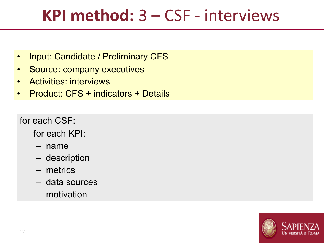# **KPI method:** 3 – CSF - interviews

- Input: Candidate / Preliminary CFS
- Source: company executives
- Activities: interviews
- Product: CFS + indicators + Details

for each CSF:

for each KPI:

- name
- description
- metrics
- data sources
- motivation

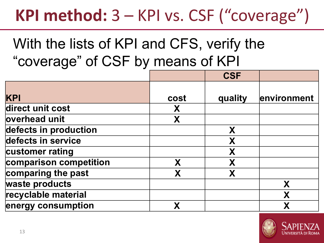# **KPI method:** 3 – KPI vs. CSF ("coverage")

#### With the lists of KPI and CFS, verify the "coverage" of CSF by means of KPI

|                        |      | <b>CSF</b> |             |
|------------------------|------|------------|-------------|
| <b>KPI</b>             | cost | quality    | environment |
| direct unit cost       | Х    |            |             |
| overhead unit          | X    |            |             |
| defects in production  |      | X          |             |
| defects in service     |      | X          |             |
| customer rating        |      | X          |             |
| comparison competition | X    | X          |             |
| comparing the past     | X    | X          |             |
| waste products         |      |            | X           |
| recyclable material    |      |            |             |
| energy consumption     |      |            |             |

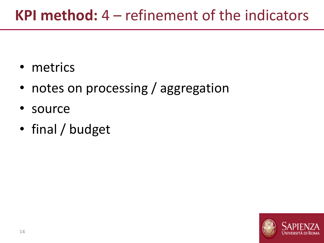## **KPI method:** 4 – refinement of the indicators

- metrics
- notes on processing / aggregation
- source
- final / budget

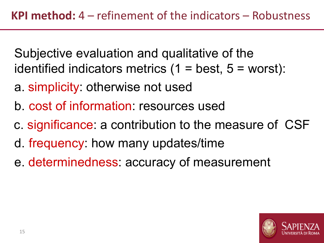Subjective evaluation and qualitative of the identified indicators metrics  $(1 = best, 5 = worst)$ :

- a. simplicity: otherwise not used
- b. cost of information: resources used
- c. significance: a contribution to the measure of CSF
- d. frequency: how many updates/time
- e. determinedness: accuracy of measurement

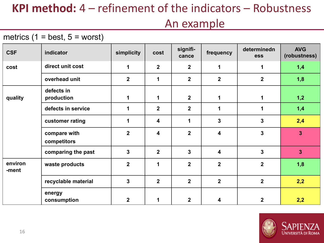#### **KPI method:** 4 – refinement of the indicators – Robustness

#### An example

#### metrics  $(1 = best, 5 = worst)$

| <b>CSF</b>       | indicator                   | simplicity       | cost                    | signifi-<br>cance | frequency      | determinedn<br>ess | <b>AVG</b><br>(robustness) |
|------------------|-----------------------------|------------------|-------------------------|-------------------|----------------|--------------------|----------------------------|
| cost             | direct unit cost            | $\mathbf 1$      | $\overline{2}$          | $\overline{2}$    | 1              | 1                  | 1,4                        |
|                  | overhead unit               | $\boldsymbol{2}$ | 1                       | $\overline{2}$    | $\overline{2}$ | $\overline{2}$     | 1,8                        |
| quality          | defects in<br>production    | 1                | 1                       | 2 <sup>1</sup>    | 1              | 1                  | 1,2                        |
|                  | defects in service          | 1                | $\overline{2}$          | $\overline{2}$    | 1              | 1                  | 1,4                        |
|                  | customer rating             | 1                | $\overline{\mathbf{4}}$ | 1                 | $\mathbf{3}$   | 3                  | 2,4                        |
|                  | compare with<br>competitors | $\overline{2}$   | $\overline{\mathbf{4}}$ | $\overline{2}$    | 4              | 3                  | $\overline{3}$             |
|                  | comparing the past          | $\overline{3}$   | $\overline{2}$          | $\overline{3}$    | 4              | 3                  | $\overline{3}$             |
| environ<br>-ment | waste products              | $\overline{2}$   | 1                       | $\overline{2}$    | $\overline{2}$ | $\mathbf{2}$       | 1,8                        |
|                  | recyclable material         | $\overline{3}$   | $\overline{2}$          | $\overline{2}$    | $\overline{2}$ | $\overline{2}$     | 2,2                        |
|                  | energy<br>consumption       | $\overline{2}$   | 1                       | $\overline{2}$    | 4              | $\mathbf{2}$       | 2,2                        |

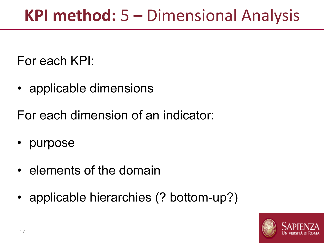For each KPI:

• applicable dimensions

For each dimension of an indicator:

- purpose
- elements of the domain
- applicable hierarchies (? bottom-up?)

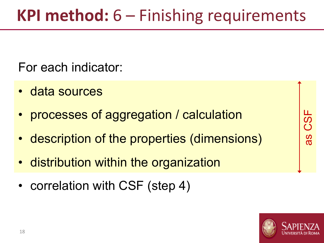For each indicator:

- data sources
- processes of aggregation / calculation
- description of the properties (dimensions)
- distribution within the organization
- correlation with CSF (step 4)



 $\frac{8}{5}$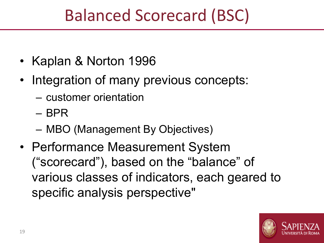# Balanced Scorecard (BSC)

- Kaplan & Norton 1996
- Integration of many previous concepts:
	- customer orientation
	- BPR
	- MBO (Management By Objectives)
- Performance Measurement System ("scorecard"), based on the "balance" of various classes of indicators, each geared to specific analysis perspective"

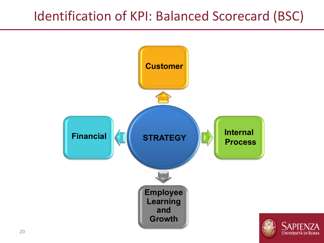#### Identification of KPI: Balanced Scorecard (BSC)